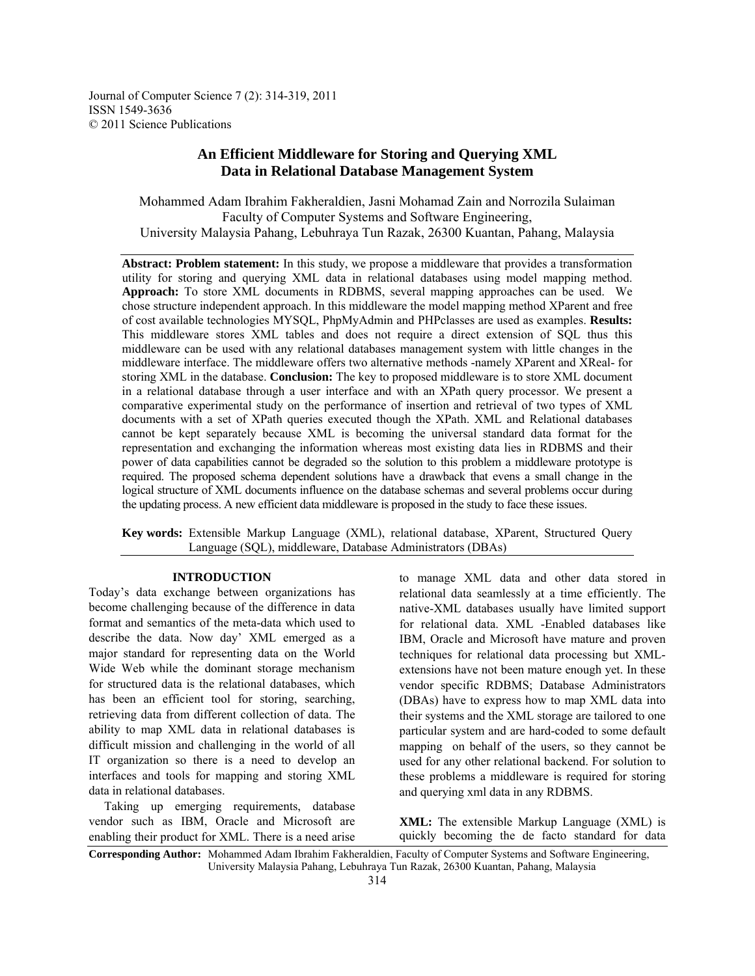Journal of Computer Science 7 (2): 314-319, 2011 ISSN 1549-3636 © 2011 Science Publications

# **An Efficient Middleware for Storing and Querying XML Data in Relational Database Management System**

Mohammed Adam Ibrahim Fakheraldien, Jasni Mohamad Zain and Norrozila Sulaiman Faculty of Computer Systems and Software Engineering, University Malaysia Pahang, Lebuhraya Tun Razak, 26300 Kuantan, Pahang, Malaysia

**Abstract: Problem statement:** In this study, we propose a middleware that provides a transformation utility for storing and querying XML data in relational databases using model mapping method. **Approach:** To store XML documents in RDBMS, several mapping approaches can be used. We chose structure independent approach. In this middleware the model mapping method XParent and free of cost available technologies MYSQL, PhpMyAdmin and PHPclasses are used as examples. **Results:** This middleware stores XML tables and does not require a direct extension of SQL thus this middleware can be used with any relational databases management system with little changes in the middleware interface. The middleware offers two alternative methods -namely XParent and XReal- for storing XML in the database. **Conclusion:** The key to proposed middleware is to store XML document in a relational database through a user interface and with an XPath query processor. We present a comparative experimental study on the performance of insertion and retrieval of two types of XML documents with a set of XPath queries executed though the XPath. XML and Relational databases cannot be kept separately because XML is becoming the universal standard data format for the representation and exchanging the information whereas most existing data lies in RDBMS and their power of data capabilities cannot be degraded so the solution to this problem a middleware prototype is required. The proposed schema dependent solutions have a drawback that evens a small change in the logical structure of XML documents influence on the database schemas and several problems occur during the updating process. A new efficient data middleware is proposed in the study to face these issues.

**Key words:** Extensible Markup Language (XML), relational database, XParent, Structured Query Language (SQL), middleware, Database Administrators (DBAs)

#### **INTRODUCTION**

Today's data exchange between organizations has become challenging because of the difference in data format and semantics of the meta-data which used to describe the data. Now day' XML emerged as a major standard for representing data on the World Wide Web while the dominant storage mechanism for structured data is the relational databases, which has been an efficient tool for storing, searching, retrieving data from different collection of data. The ability to map XML data in relational databases is difficult mission and challenging in the world of all IT organization so there is a need to develop an interfaces and tools for mapping and storing XML data in relational databases.

 Taking up emerging requirements, database vendor such as IBM, Oracle and Microsoft are enabling their product for XML. There is a need arise

to manage XML data and other data stored in relational data seamlessly at a time efficiently. The native-XML databases usually have limited support for relational data. XML -Enabled databases like IBM, Oracle and Microsoft have mature and proven techniques for relational data processing but XMLextensions have not been mature enough yet. In these vendor specific RDBMS; Database Administrators (DBAs) have to express how to map XML data into their systems and the XML storage are tailored to one particular system and are hard-coded to some default mapping on behalf of the users, so they cannot be used for any other relational backend. For solution to these problems a middleware is required for storing and querying xml data in any RDBMS.

**XML:** The extensible Markup Language (XML) is quickly becoming the de facto standard for data

**Corresponding Author:** Mohammed Adam Ibrahim Fakheraldien, Faculty of Computer Systems and Software Engineering, University Malaysia Pahang, Lebuhraya Tun Razak, 26300 Kuantan, Pahang, Malaysia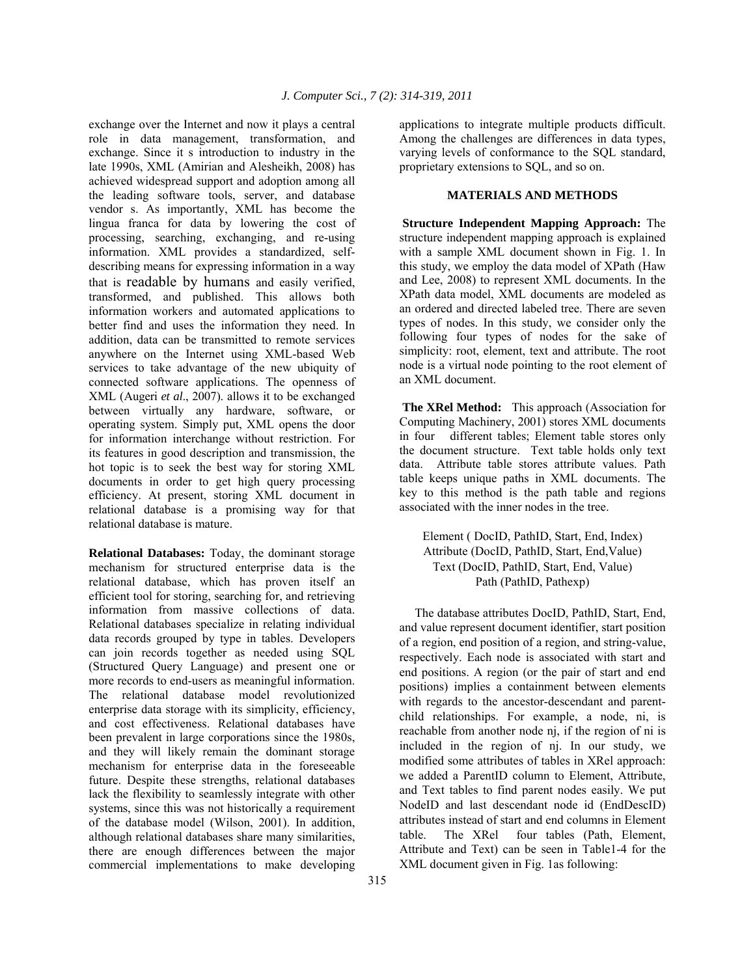exchange over the Internet and now it plays a central role in data management, transformation, and exchange. Since it s introduction to industry in the late 1990s, XML (Amirian and Alesheikh, 2008) has achieved widespread support and adoption among all the leading software tools, server, and database vendor s. As importantly, XML has become the lingua franca for data by lowering the cost of processing, searching, exchanging, and re-using information. XML provides a standardized, selfdescribing means for expressing information in a way that is readable by humans and easily verified, transformed, and published. This allows both information workers and automated applications to better find and uses the information they need. In addition, data can be transmitted to remote services anywhere on the Internet using XML-based Web services to take advantage of the new ubiquity of connected software applications. The openness of XML (Augeri *et al*., 2007). allows it to be exchanged between virtually any hardware, software, or operating system. Simply put, XML opens the door for information interchange without restriction. For its features in good description and transmission, the hot topic is to seek the best way for storing XML documents in order to get high query processing efficiency. At present, storing XML document in relational database is a promising way for that relational database is mature.

**Relational Databases:** Today, the dominant storage mechanism for structured enterprise data is the relational database, which has proven itself an efficient tool for storing, searching for, and retrieving information from massive collections of data. Relational databases specialize in relating individual data records grouped by type in tables. Developers can join records together as needed using SQL (Structured Query Language) and present one or more records to end-users as meaningful information. The relational database model revolutionized enterprise data storage with its simplicity, efficiency, and cost effectiveness. Relational databases have been prevalent in large corporations since the 1980s, and they will likely remain the dominant storage mechanism for enterprise data in the foreseeable future. Despite these strengths, relational databases lack the flexibility to seamlessly integrate with other systems, since this was not historically a requirement of the database model (Wilson, 2001). In addition, although relational databases share many similarities, there are enough differences between the major commercial implementations to make developing

applications to integrate multiple products difficult. Among the challenges are differences in data types, varying levels of conformance to the SQL standard, proprietary extensions to SQL, and so on.

## **MATERIALS AND METHODS**

**Structure Independent Mapping Approach:** The structure independent mapping approach is explained with a sample XML document shown in Fig. 1. In this study, we employ the data model of XPath (Haw and Lee, 2008) to represent XML documents. In the XPath data model, XML documents are modeled as an ordered and directed labeled tree. There are seven types of nodes. In this study, we consider only the following four types of nodes for the sake of simplicity: root, element, text and attribute. The root node is a virtual node pointing to the root element of an XML document.

 **The XRel Method:** This approach (Association for Computing Machinery, 2001) stores XML documents in four different tables; Element table stores only the document structure. Text table holds only text data. Attribute table stores attribute values. Path table keeps unique paths in XML documents. The key to this method is the path table and regions associated with the inner nodes in the tree.

Element ( DocID, PathID, Start, End, Index) Attribute (DocID, PathID, Start, End,Value) Text (DocID, PathID, Start, End, Value) Path (PathID, Pathexp)

 The database attributes DocID, PathID, Start, End, and value represent document identifier, start position of a region, end position of a region, and string-value, respectively. Each node is associated with start and end positions. A region (or the pair of start and end positions) implies a containment between elements with regards to the ancestor-descendant and parentchild relationships. For example, a node, ni, is reachable from another node nj, if the region of ni is included in the region of nj. In our study, we modified some attributes of tables in XRel approach: we added a ParentID column to Element, Attribute, and Text tables to find parent nodes easily. We put NodeID and last descendant node id (EndDescID) attributes instead of start and end columns in Element table. The XRel four tables (Path, Element, Attribute and Text) can be seen in Table1-4 for the XML document given in Fig. 1as following: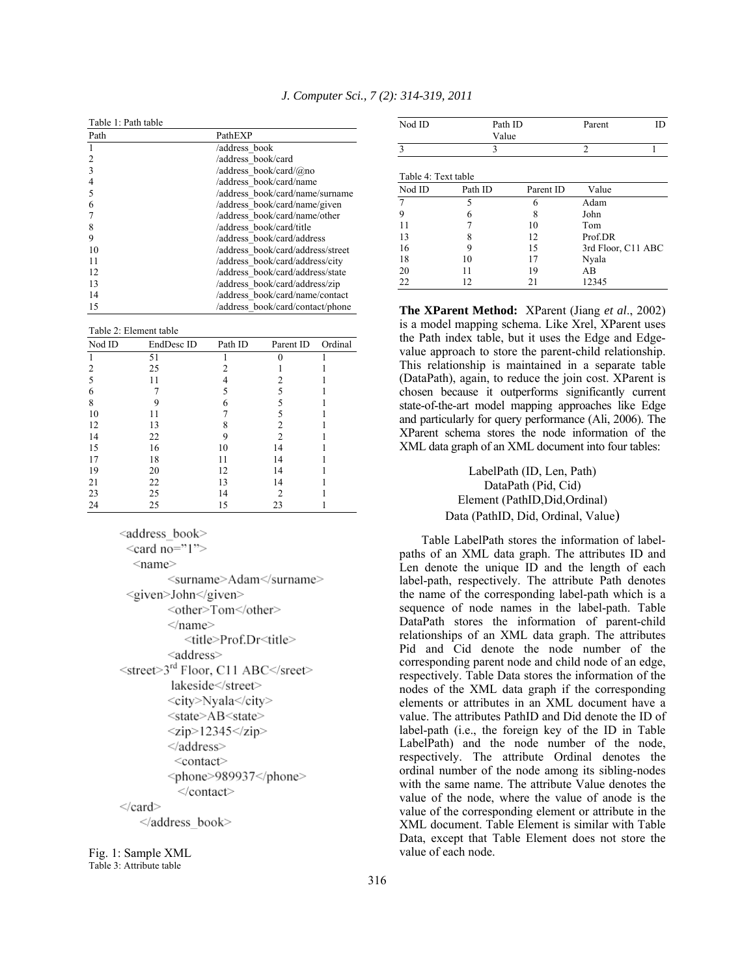| Table 1: Path table |                                   |
|---------------------|-----------------------------------|
| Path                | PathEXP                           |
| -1                  | /address book                     |
| $\mathfrak{D}$      | /address book/card                |
| 3                   | /address book/card/@no            |
|                     | /address book/card/name           |
| 5                   | /address book/card/name/surname   |
| 6                   | /address book/card/name/given     |
|                     | /address book/card/name/other     |
| 8                   | /address book/card/title          |
| 9                   | /address book/card/address        |
| 10                  | /address book/card/address/street |
| 11                  | /address book/card/address/city   |
| 12                  | /address book/card/address/state  |
| 13                  | /address book/card/address/zip    |
| 14                  | /address book/card/name/contact   |
| 15                  | /address book/card/contact/phone  |

Table 2: Element table

| Nod ID         | EndDesc ID | Path ID | Parent ID      | Ordinal |
|----------------|------------|---------|----------------|---------|
|                | 51         |         | U              |         |
| $\overline{2}$ | 25         | 2       |                |         |
| 5              | 11         |         | 2              |         |
| 6              |            | 5       | 5              |         |
| 8              | 9          | 6       | 5              |         |
| 10             | 11         |         | 5              |         |
| 12             | 13         | 8       | 2              |         |
| 14             | 22         | 9       | $\mathfrak{D}$ |         |
| 15             | 16         | 10      | 14             |         |
| 17             | 18         | 11      | 14             |         |
| 19             | 20         | 12      | 14             |         |
| 21             | 22         | 13      | 14             |         |
| 23             | 25         | 14      | 2              |         |
| 24             | 25         | 15      | 23             |         |

```
<address book>
 \alpha <card no="1">
  <name><surname>Adam</surname>
 <given>John</given>
         <other>Tom</other>
         </name><title>Prof.Dr<title>
          <address>
<street>3<sup>rd</sup> Floor, C11 ABC</sreet>
          lakeside</street>
         <city>Nyala</city>
         <state>AB<state>
         <zip>12345</zip>
         \leq/address>
           <contact>
         <phone>989937</phone>
            \le/contact>
\langle \text{card} \rangle\triangleleft address book\triangleright
```
Fig. 1: Sample XML Table 3: Attribute table

| Nod ID              | Path ID<br>Value |           | Parent             | ID |
|---------------------|------------------|-----------|--------------------|----|
| 3                   | 3                |           | $\overline{c}$     |    |
| Table 4: Text table |                  |           |                    |    |
| Nod ID              | Path ID          | Parent ID | Value              |    |
| 7                   | 5                | 6         | Adam               |    |
| 9                   | 6                | 8         | John               |    |
| 11                  | 7                | 10        | Tom                |    |
| 13                  | 8                | 12        | Prof.DR            |    |
| 16                  | 9                | 15        | 3rd Floor, C11 ABC |    |
| 18                  | 10               | 17        | Nyala              |    |
| 20                  | 11               | 19        | AB                 |    |
| 22                  | 12               | 21        | 12345              |    |

**The XParent Method:** XParent (Jiang *et al*., 2002) is a model mapping schema. Like Xrel, XParent uses the Path index table, but it uses the Edge and Edgevalue approach to store the parent-child relationship. This relationship is maintained in a separate table (DataPath), again, to reduce the join cost. XParent is chosen because it outperforms significantly current state-of-the-art model mapping approaches like Edge and particularly for query performance (Ali, 2006). The XParent schema stores the node information of the XML data graph of an XML document into four tables:

> LabelPath (ID, Len, Path) DataPath (Pid, Cid) Element (PathID,Did,Ordinal) Data (PathID, Did, Ordinal, Value)

 Table LabelPath stores the information of labelpaths of an XML data graph. The attributes ID and Len denote the unique ID and the length of each label-path, respectively. The attribute Path denotes the name of the corresponding label-path which is a sequence of node names in the label-path. Table DataPath stores the information of parent-child relationships of an XML data graph. The attributes Pid and Cid denote the node number of the corresponding parent node and child node of an edge, respectively. Table Data stores the information of the nodes of the XML data graph if the corresponding elements or attributes in an XML document have a value. The attributes PathID and Did denote the ID of label-path (i.e., the foreign key of the ID in Table LabelPath) and the node number of the node, respectively. The attribute Ordinal denotes the ordinal number of the node among its sibling-nodes with the same name. The attribute Value denotes the value of the node, where the value of anode is the value of the corresponding element or attribute in the XML document. Table Element is similar with Table Data, except that Table Element does not store the value of each node.

# *J. Computer Sci., 7 (2): 314-319, 2011*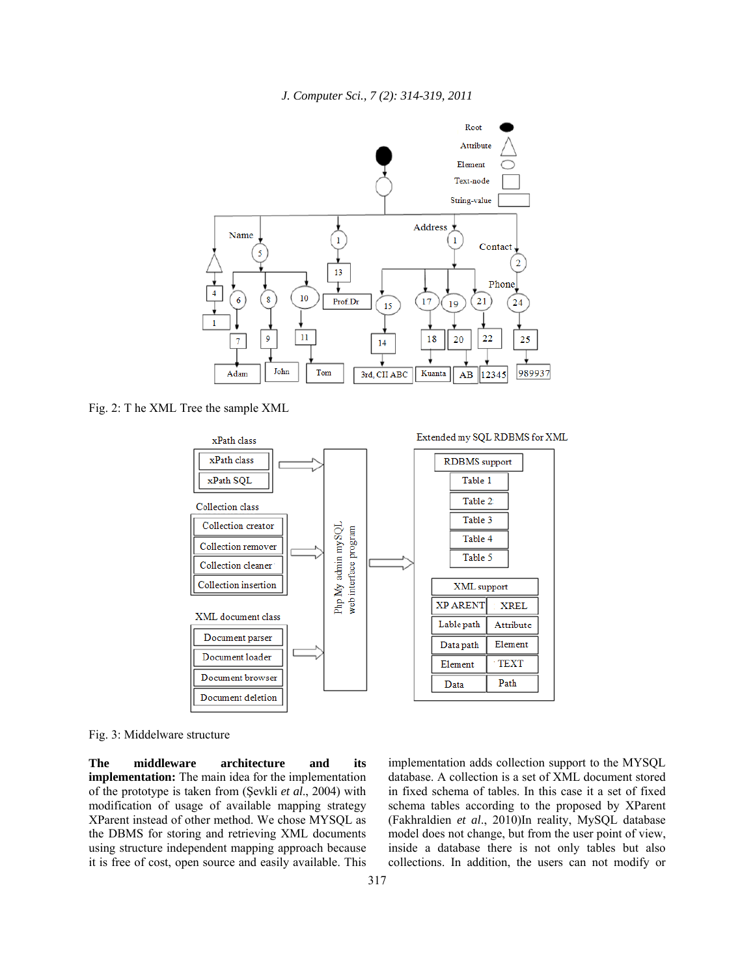

Fig. 2: T he XML Tree the sample XML



Fig. 3: Middelware structure

**The middleware architecture and its implementation:** The main idea for the implementation of the prototype is taken from (Şevkli *et al*., 2004) with modification of usage of available mapping strategy XParent instead of other method. We chose MYSQL as the DBMS for storing and retrieving XML documents using structure independent mapping approach because it is free of cost, open source and easily available. This implementation adds collection support to the MYSQL database. A collection is a set of XML document stored in fixed schema of tables. In this case it a set of fixed schema tables according to the proposed by XParent (Fakhraldien *et al*., 2010)In reality, MySQL database model does not change, but from the user point of view, inside a database there is not only tables but also collections. In addition, the users can not modify or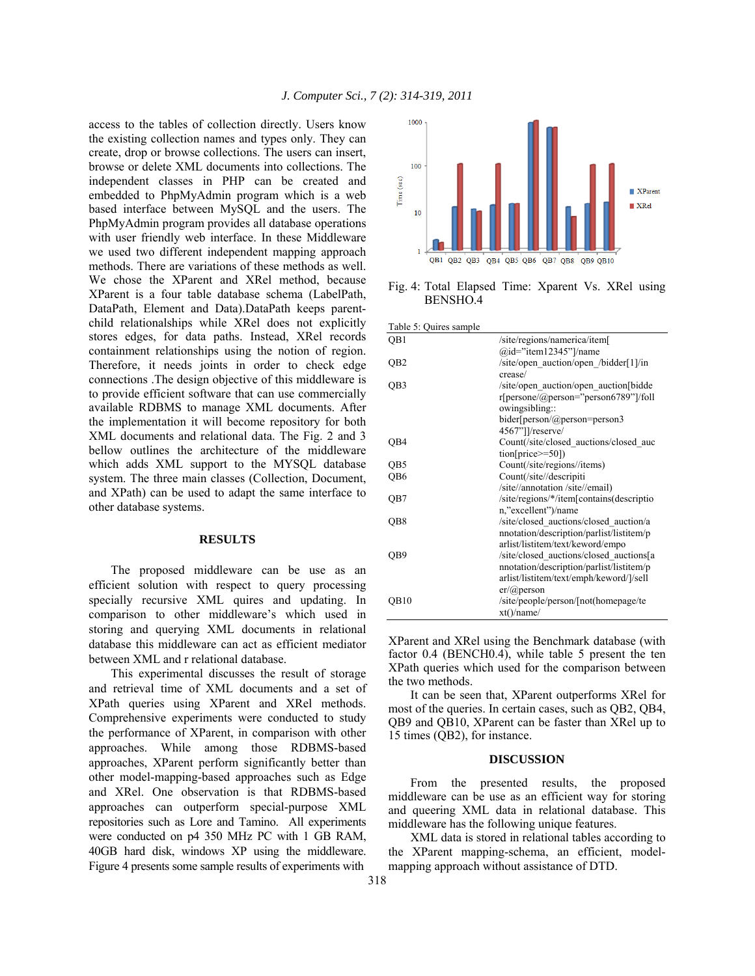access to the tables of collection directly. Users know the existing collection names and types only. They can create, drop or browse collections. The users can insert, browse or delete XML documents into collections. The independent classes in PHP can be created and embedded to PhpMyAdmin program which is a web based interface between MySQL and the users. The PhpMyAdmin program provides all database operations with user friendly web interface. In these Middleware we used two different independent mapping approach methods. There are variations of these methods as well. We chose the XParent and XRel method, because XParent is a four table database schema (LabelPath, DataPath, Element and Data).DataPath keeps parentchild relationalships while XRel does not explicitly stores edges, for data paths. Instead, XRel records containment relationships using the notion of region. Therefore, it needs joints in order to check edge connections .The design objective of this middleware is to provide efficient software that can use commercially available RDBMS to manage XML documents. After the implementation it will become repository for both XML documents and relational data. The Fig. 2 and 3 bellow outlines the architecture of the middleware which adds XML support to the MYSQL database system. The three main classes (Collection, Document, and XPath) can be used to adapt the same interface to other database systems.

## **RESULTS**

 The proposed middleware can be use as an efficient solution with respect to query processing specially recursive XML quires and updating. In comparison to other middleware's which used in storing and querying XML documents in relational database this middleware can act as efficient mediator between XML and r relational database.

 This experimental discusses the result of storage and retrieval time of XML documents and a set of XPath queries using XParent and XRel methods. Comprehensive experiments were conducted to study the performance of XParent, in comparison with other approaches. While among those RDBMS-based approaches, XParent perform significantly better than other model-mapping-based approaches such as Edge and XRel. One observation is that RDBMS-based approaches can outperform special-purpose XML repositories such as Lore and Tamino. All experiments were conducted on p4 350 MHz PC with 1 GB RAM, 40GB hard disk, windows XP using the middleware. Figure 4 presents some sample results of experiments with



Fig. 4: Total Elapsed Time: Xparent Vs. XRel using BENSHO.4

| Table 5: Quires sample |                                          |
|------------------------|------------------------------------------|
| QB1                    | /site/regions/namerica/item[             |
|                        | @id="item12345"]/name                    |
| QB <sub>2</sub>        | /site/open auction/open /bidder[1]/in    |
|                        | crease/                                  |
| QB3                    | /site/open auction/open auction[bidde    |
|                        | r[persone/@person="person6789"]/foll     |
|                        | owingsibling::                           |
|                        | bider[person/@person=person3             |
|                        | 4567"]]/reserve/                         |
| QB4                    | Count(/site/closed auctions/closed auc   |
|                        | $tion[price>=50])$                       |
| QB5                    | Count(/site/regions//items)              |
| QB6                    | Count(/site//descripiti                  |
|                        | /site//annotation/site//email)           |
| QB7                    | /site/regions/*/item[contains(descriptio |
|                        | n,"excellent")/name                      |
| QB8                    | /site/closed auctions/closed auction/a   |
|                        | nnotation/description/parlist/listitem/p |
|                        | arlist/listitem/text/keword/empo         |
| QB9                    | /site/closed auctions/closed auctions[a  |
|                        | nnotation/description/parlist/listitem/p |
|                        | arlist/listitem/text/emph/keword/]/sell  |
|                        | $er/(a)$ person                          |
| QB10                   | /site/people/person/[not(homepage/te     |
|                        | $xt()$ /name/                            |

XParent and XRel using the Benchmark database (with factor 0.4 (BENCH0.4), while table 5 present the ten XPath queries which used for the comparison between the two methods.

 It can be seen that, XParent outperforms XRel for most of the queries. In certain cases, such as QB2, QB4, QB9 and QB10, XParent can be faster than XRel up to 15 times (QB2), for instance.

#### **DISCUSSION**

 From the presented results, the proposed middleware can be use as an efficient way for storing and queering XML data in relational database. This middleware has the following unique features.

 XML data is stored in relational tables according to the XParent mapping-schema, an efficient, modelmapping approach without assistance of DTD.